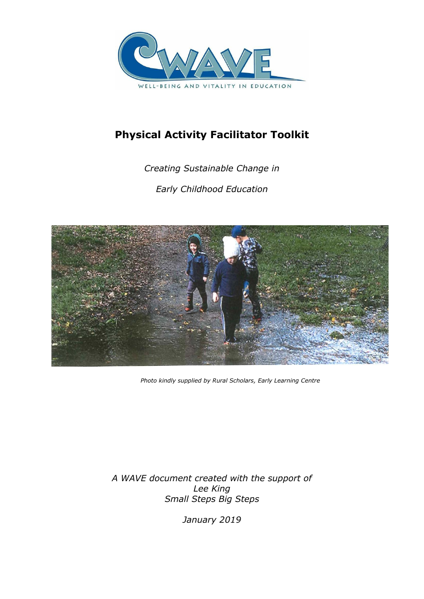

# **Physical Activity Facilitator Toolkit**

*Creating Sustainable Change in Early Childhood Education* 



 *Photo kindly supplied by Rural Scholars, Early Learning Centre*

*A WAVE document created with the support of Lee King Small Steps Big Steps*

*January 2019*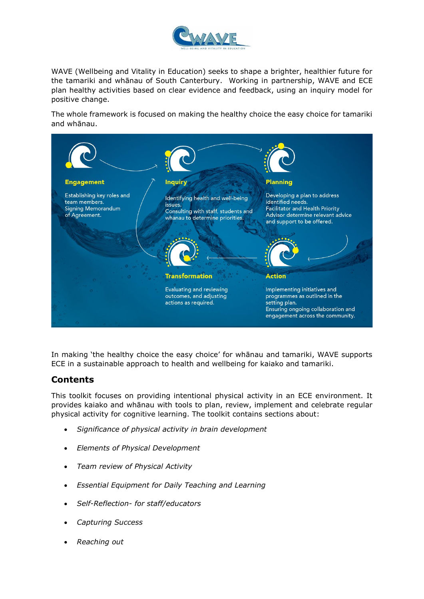

WAVE (Wellbeing and Vitality in Education) seeks to shape a brighter, healthier future for the tamariki and whānau of South Canterbury. Working in partnership, WAVE and ECE plan healthy activities based on clear evidence and feedback, using an inquiry model for positive change.

The whole framework is focused on making the healthy choice the easy choice for tamariki and whānau.



In making 'the healthy choice the easy choice' for whānau and tamariki, WAVE supports ECE in a sustainable approach to health and wellbeing for kaiako and tamariki.

### **Contents**

This toolkit focuses on providing intentional physical activity in an ECE environment. It provides kaiako and whānau with tools to plan, review, implement and celebrate regular physical activity for cognitive learning. The toolkit contains sections about:

- *Significance of physical activity in brain development*
- *Elements of Physical Development*
- *Team review of Physical Activity*
- *Essential Equipment for Daily Teaching and Learning*
- *Self-Reflection- for staff/educators*
- *Capturing Success*
- *Reaching out*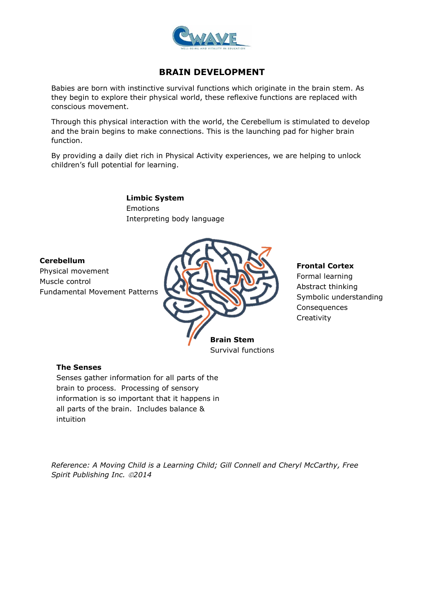

# **BRAIN DEVELOPMENT**

Babies are born with instinctive survival functions which originate in the brain stem. As they begin to explore their physical world, these reflexive functions are replaced with conscious movement.

Through this physical interaction with the world, the Cerebellum is stimulated to develop and the brain begins to make connections. This is the launching pad for higher brain function.

By providing a daily diet rich in Physical Activity experiences, we are helping to unlock children's full potential for learning.

> **Limbic System** Emotions Interpreting body language

### **Cerebellum**

Physical movement Muscle control Fundamental Movement Patterns



#### **Frontal Cortex**

Formal learning Abstract thinking Symbolic understanding **Consequences Creativity** 

### **The Senses**

Senses gather information for all parts of the brain to process. Processing of sensory information is so important that it happens in all parts of the brain. Includes balance & intuition

*Reference: A Moving Child is a Learning Child; Gill Connell and Cheryl McCarthy, Free Spirit Publishing Inc. 2014*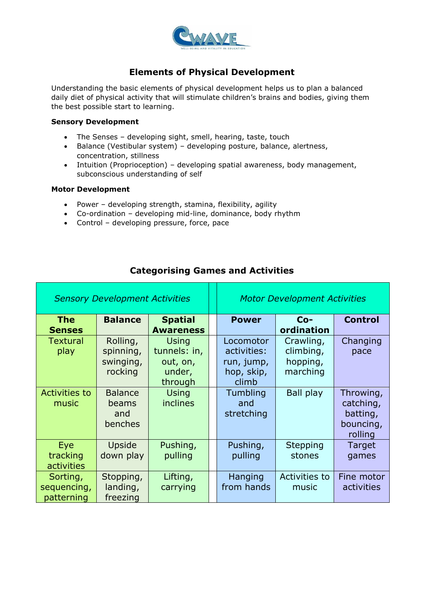

# **Elements of Physical Development**

Understanding the basic elements of physical development helps us to plan a balanced daily diet of physical activity that will stimulate children's brains and bodies, giving them the best possible start to learning.

#### **Sensory Development**

- The Senses developing sight, smell, hearing, taste, touch
- Balance (Vestibular system) developing posture, balance, alertness, concentration, stillness
- Intuition (Proprioception) developing spatial awareness, body management, subconscious understanding of self

### **Motor Development**

- Power developing strength, stamina, flexibility, agility
- Co-ordination developing mid-line, dominance, body rhythm
- Control developing pressure, force, pace

| <b>Sensory Development Activities</b> |                                               | <b>Motor Development Activities</b>                           |                                                               |                                                |                                                            |
|---------------------------------------|-----------------------------------------------|---------------------------------------------------------------|---------------------------------------------------------------|------------------------------------------------|------------------------------------------------------------|
| <b>The</b><br><b>Senses</b>           | <b>Balance</b>                                | <b>Spatial</b><br><b>Awareness</b>                            | <b>Power</b>                                                  | $Co-$<br>ordination                            | <b>Control</b>                                             |
| <b>Textural</b><br>play               | Rolling,<br>spinning,<br>swinging,<br>rocking | <b>Using</b><br>tunnels: in,<br>out, on,<br>under,<br>through | Locomotor<br>activities:<br>run, jump,<br>hop, skip,<br>climb | Crawling,<br>climbing,<br>hopping,<br>marching | Changing<br>pace                                           |
| <b>Activities to</b><br>music         | <b>Balance</b><br>beams<br>and<br>benches     | Using<br>inclines                                             | Tumbling<br>and<br>stretching                                 | <b>Ball play</b>                               | Throwing,<br>catching,<br>batting,<br>bouncing,<br>rolling |
| Eye<br>tracking<br>activities         | Upside<br>down play                           | Pushing,<br>pulling                                           | Pushing,<br>pulling                                           | Stepping<br>stones                             | Target<br>games                                            |
| Sorting,<br>sequencing,<br>patterning | Stopping,<br>landing,<br>freezing             | Lifting,<br>carrying                                          | Hanging<br>from hands                                         | Activities to<br>music                         | Fine motor<br>activities                                   |

### **Categorising Games and Activities**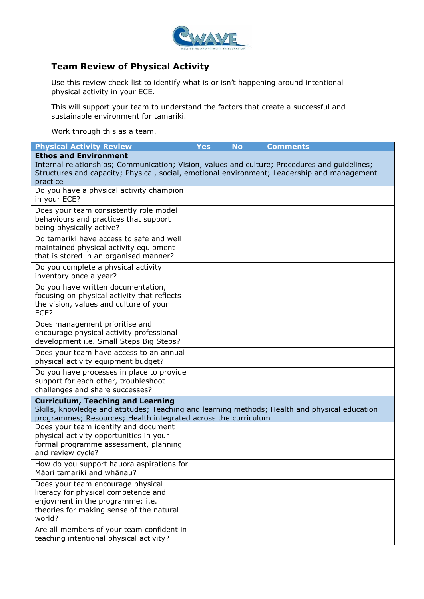

# **Team Review of Physical Activity**

Use this review check list to identify what is or isn't happening around intentional physical activity in your ECE.

This will support your team to understand the factors that create a successful and sustainable environment for tamariki.

Work through this as a team.

| <b>Physical Activity Review</b>                                                                                                                                                                                                                                                                                                                              | <b>Yes</b> | <b>No</b> | <b>Comments</b> |
|--------------------------------------------------------------------------------------------------------------------------------------------------------------------------------------------------------------------------------------------------------------------------------------------------------------------------------------------------------------|------------|-----------|-----------------|
| <b>Ethos and Environment</b><br>Internal relationships; Communication; Vision, values and culture; Procedures and guidelines;<br>Structures and capacity; Physical, social, emotional environment; Leadership and management<br>practice                                                                                                                     |            |           |                 |
| Do you have a physical activity champion<br>in your ECE?                                                                                                                                                                                                                                                                                                     |            |           |                 |
| Does your team consistently role model<br>behaviours and practices that support<br>being physically active?                                                                                                                                                                                                                                                  |            |           |                 |
| Do tamariki have access to safe and well<br>maintained physical activity equipment<br>that is stored in an organised manner?                                                                                                                                                                                                                                 |            |           |                 |
| Do you complete a physical activity<br>inventory once a year?                                                                                                                                                                                                                                                                                                |            |           |                 |
| Do you have written documentation,<br>focusing on physical activity that reflects<br>the vision, values and culture of your<br>ECE?                                                                                                                                                                                                                          |            |           |                 |
| Does management prioritise and<br>encourage physical activity professional<br>development i.e. Small Steps Big Steps?                                                                                                                                                                                                                                        |            |           |                 |
| Does your team have access to an annual<br>physical activity equipment budget?                                                                                                                                                                                                                                                                               |            |           |                 |
| Do you have processes in place to provide<br>support for each other, troubleshoot<br>challenges and share successes?                                                                                                                                                                                                                                         |            |           |                 |
| <b>Curriculum, Teaching and Learning</b><br>Skills, knowledge and attitudes; Teaching and learning methods; Health and physical education<br>programmes; Resources; Health integrated across the curriculum<br>Does your team identify and document<br>physical activity opportunities in your<br>formal programme assessment, planning<br>and review cycle? |            |           |                 |
| How do you support hauora aspirations for<br>Māori tamariki and whānau?                                                                                                                                                                                                                                                                                      |            |           |                 |
| Does your team encourage physical<br>literacy for physical competence and<br>enjoyment in the programme: i.e.<br>theories for making sense of the natural<br>world?                                                                                                                                                                                          |            |           |                 |
| Are all members of your team confident in<br>teaching intentional physical activity?                                                                                                                                                                                                                                                                         |            |           |                 |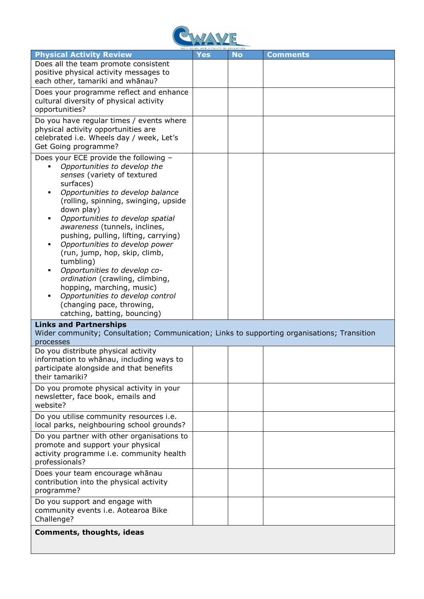

| <b>Physical Activity Review</b>                                                             | Yes | <b>No</b> | <b>Comments</b> |  |
|---------------------------------------------------------------------------------------------|-----|-----------|-----------------|--|
| Does all the team promote consistent                                                        |     |           |                 |  |
| positive physical activity messages to                                                      |     |           |                 |  |
| each other, tamariki and whānau?                                                            |     |           |                 |  |
| Does your programme reflect and enhance                                                     |     |           |                 |  |
| cultural diversity of physical activity                                                     |     |           |                 |  |
| opportunities?                                                                              |     |           |                 |  |
| Do you have regular times / events where                                                    |     |           |                 |  |
| physical activity opportunities are                                                         |     |           |                 |  |
| celebrated i.e. Wheels day / week, Let's                                                    |     |           |                 |  |
| Get Going programme?                                                                        |     |           |                 |  |
| Does your ECE provide the following -                                                       |     |           |                 |  |
| Opportunities to develop the                                                                |     |           |                 |  |
| senses (variety of textured                                                                 |     |           |                 |  |
| surfaces)                                                                                   |     |           |                 |  |
| Opportunities to develop balance                                                            |     |           |                 |  |
| (rolling, spinning, swinging, upside                                                        |     |           |                 |  |
| down play)                                                                                  |     |           |                 |  |
| Opportunities to develop spatial                                                            |     |           |                 |  |
| awareness (tunnels, inclines,                                                               |     |           |                 |  |
| pushing, pulling, lifting, carrying)<br>Opportunities to develop power                      |     |           |                 |  |
| (run, jump, hop, skip, climb,                                                               |     |           |                 |  |
| tumbling)                                                                                   |     |           |                 |  |
| Opportunities to develop co-                                                                |     |           |                 |  |
| ordination (crawling, climbing,                                                             |     |           |                 |  |
| hopping, marching, music)                                                                   |     |           |                 |  |
| Opportunities to develop control                                                            |     |           |                 |  |
| (changing pace, throwing,                                                                   |     |           |                 |  |
| catching, batting, bouncing)                                                                |     |           |                 |  |
| <b>Links and Partnerships</b>                                                               |     |           |                 |  |
| Wider community; Consultation; Communication; Links to supporting organisations; Transition |     |           |                 |  |
| processes                                                                                   |     |           |                 |  |
| Do you distribute physical activity                                                         |     |           |                 |  |
| information to whanau, including ways to<br>participate alongside and that benefits         |     |           |                 |  |
| their tamariki?                                                                             |     |           |                 |  |
|                                                                                             |     |           |                 |  |
| Do you promote physical activity in your                                                    |     |           |                 |  |
| newsletter, face book, emails and                                                           |     |           |                 |  |
| website?                                                                                    |     |           |                 |  |
| Do you utilise community resources i.e.                                                     |     |           |                 |  |
| local parks, neighbouring school grounds?                                                   |     |           |                 |  |
| Do you partner with other organisations to                                                  |     |           |                 |  |
| promote and support your physical                                                           |     |           |                 |  |
| activity programme i.e. community health<br>professionals?                                  |     |           |                 |  |
|                                                                                             |     |           |                 |  |
| Does your team encourage whānau                                                             |     |           |                 |  |
| contribution into the physical activity<br>programme?                                       |     |           |                 |  |
|                                                                                             |     |           |                 |  |
| Do you support and engage with                                                              |     |           |                 |  |
| community events i.e. Aotearoa Bike                                                         |     |           |                 |  |
| Challenge?                                                                                  |     |           |                 |  |
| <b>Comments, thoughts, ideas</b>                                                            |     |           |                 |  |
|                                                                                             |     |           |                 |  |
|                                                                                             |     |           |                 |  |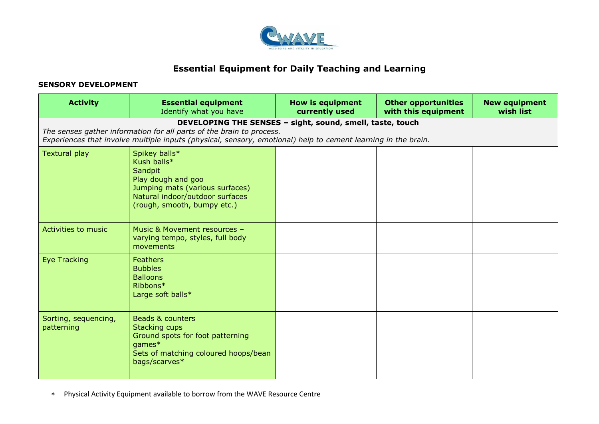

## **Essential Equipment for Daily Teaching and Learning**

### **SENSORY DEVELOPMENT**

| <b>Activity</b>                    | <b>Essential equipment</b><br>Identify what you have                                                                                                                                  | <b>How is equipment</b><br>currently used                 | <b>Other opportunities</b><br>with this equipment | <b>New equipment</b><br>wish list |
|------------------------------------|---------------------------------------------------------------------------------------------------------------------------------------------------------------------------------------|-----------------------------------------------------------|---------------------------------------------------|-----------------------------------|
|                                    | The senses gather information for all parts of the brain to process.<br>Experiences that involve multiple inputs (physical, sensory, emotional) help to cement learning in the brain. | DEVELOPING THE SENSES - sight, sound, smell, taste, touch |                                                   |                                   |
| <b>Textural play</b>               | Spikey balls*<br>Kush balls*<br>Sandpit<br>Play dough and goo<br>Jumping mats (various surfaces)<br>Natural indoor/outdoor surfaces<br>(rough, smooth, bumpy etc.)                    |                                                           |                                                   |                                   |
| <b>Activities to music</b>         | Music & Movement resources -<br>varying tempo, styles, full body<br>movements                                                                                                         |                                                           |                                                   |                                   |
| <b>Eye Tracking</b>                | Feathers<br><b>Bubbles</b><br><b>Balloons</b><br>Ribbons*<br>Large soft balls*                                                                                                        |                                                           |                                                   |                                   |
| Sorting, sequencing,<br>patterning | Beads & counters<br><b>Stacking cups</b><br>Ground spots for foot patterning<br>games*<br>Sets of matching coloured hoops/bean<br>bags/scarves*                                       |                                                           |                                                   |                                   |

Physical Activity Equipment available to borrow from the WAVE Resource Centre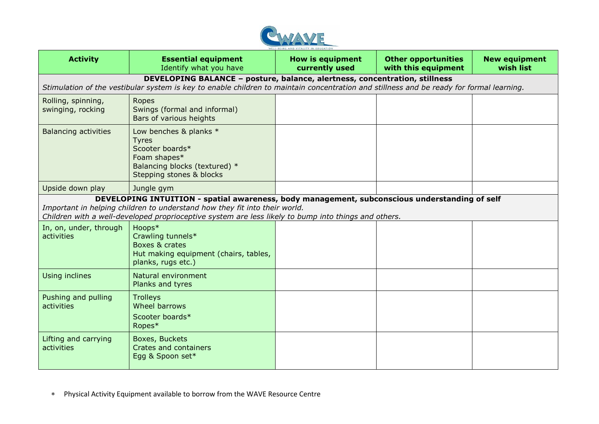

| <b>Activity</b>                                                                                                                                                                                                                                                                     | <b>Essential equipment</b><br>Identify what you have                                                                                                                                                                   | <b>How is equipment</b><br>currently used | <b>Other opportunities</b><br>with this equipment | <b>New equipment</b><br>wish list |
|-------------------------------------------------------------------------------------------------------------------------------------------------------------------------------------------------------------------------------------------------------------------------------------|------------------------------------------------------------------------------------------------------------------------------------------------------------------------------------------------------------------------|-------------------------------------------|---------------------------------------------------|-----------------------------------|
|                                                                                                                                                                                                                                                                                     | DEVELOPING BALANCE - posture, balance, alertness, concentration, stillness<br>Stimulation of the vestibular system is key to enable children to maintain concentration and stillness and be ready for formal learning. |                                           |                                                   |                                   |
| Rolling, spinning,<br>swinging, rocking                                                                                                                                                                                                                                             | Ropes<br>Swings (formal and informal)<br>Bars of various heights                                                                                                                                                       |                                           |                                                   |                                   |
| <b>Balancing activities</b>                                                                                                                                                                                                                                                         | Low benches & planks *<br><b>Tyres</b><br>Scooter boards*<br>Foam shapes*<br>Balancing blocks (textured) *<br>Stepping stones & blocks                                                                                 |                                           |                                                   |                                   |
| Upside down play                                                                                                                                                                                                                                                                    | Jungle gym                                                                                                                                                                                                             |                                           |                                                   |                                   |
| DEVELOPING INTUITION - spatial awareness, body management, subconscious understanding of self<br>Important in helping children to understand how they fit into their world.<br>Children with a well-developed proprioceptive system are less likely to bump into things and others. |                                                                                                                                                                                                                        |                                           |                                                   |                                   |
| In, on, under, through<br>activities                                                                                                                                                                                                                                                | Hoops*<br>Crawling tunnels*<br>Boxes & crates<br>Hut making equipment (chairs, tables,<br>planks, rugs etc.)                                                                                                           |                                           |                                                   |                                   |
| Using inclines                                                                                                                                                                                                                                                                      | Natural environment<br>Planks and tyres                                                                                                                                                                                |                                           |                                                   |                                   |
| Pushing and pulling<br>activities                                                                                                                                                                                                                                                   | <b>Trolleys</b><br>Wheel barrows<br>Scooter boards*<br>Ropes*                                                                                                                                                          |                                           |                                                   |                                   |
| Lifting and carrying<br>activities                                                                                                                                                                                                                                                  | Boxes, Buckets<br>Crates and containers<br>Egg & Spoon set*                                                                                                                                                            |                                           |                                                   |                                   |

Physical Activity Equipment available to borrow from the WAVE Resource Centre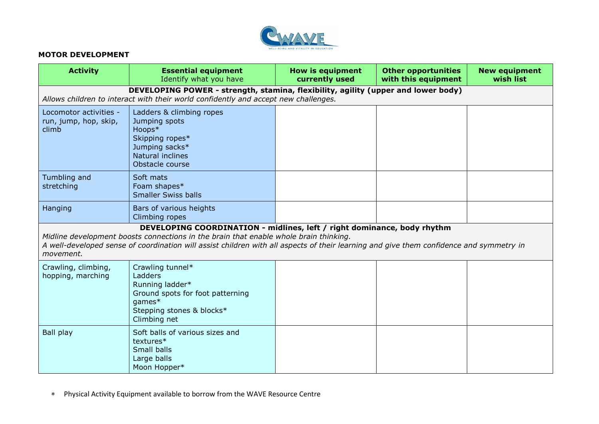

### **MOTOR DEVELOPMENT**

| <b>Activity</b>                                                                                                                                                                                                                                                                                                          | <b>Essential equipment</b><br>Identify what you have                                                                                                                     | <b>How is equipment</b><br>currently used | <b>Other opportunities</b><br>with this equipment | <b>New equipment</b><br>wish list |
|--------------------------------------------------------------------------------------------------------------------------------------------------------------------------------------------------------------------------------------------------------------------------------------------------------------------------|--------------------------------------------------------------------------------------------------------------------------------------------------------------------------|-------------------------------------------|---------------------------------------------------|-----------------------------------|
|                                                                                                                                                                                                                                                                                                                          | DEVELOPING POWER - strength, stamina, flexibility, agility (upper and lower body)<br>Allows children to interact with their world confidently and accept new challenges. |                                           |                                                   |                                   |
| Locomotor activities -<br>run, jump, hop, skip,<br>climb                                                                                                                                                                                                                                                                 | Ladders & climbing ropes<br>Jumping spots<br>Hoops*<br>Skipping ropes*<br>Jumping sacks*<br>Natural inclines<br>Obstacle course                                          |                                           |                                                   |                                   |
| Tumbling and<br>stretching                                                                                                                                                                                                                                                                                               | Soft mats<br>Foam shapes*<br><b>Smaller Swiss balls</b>                                                                                                                  |                                           |                                                   |                                   |
| Hanging                                                                                                                                                                                                                                                                                                                  | Bars of various heights<br>Climbing ropes                                                                                                                                |                                           |                                                   |                                   |
| DEVELOPING COORDINATION - midlines, left / right dominance, body rhythm<br>Midline development boosts connections in the brain that enable whole brain thinking.<br>A well-developed sense of coordination will assist children with all aspects of their learning and give them confidence and symmetry in<br>movement. |                                                                                                                                                                          |                                           |                                                   |                                   |
| Crawling, climbing,<br>hopping, marching                                                                                                                                                                                                                                                                                 | Crawling tunnel*<br>Ladders<br>Running ladder*<br>Ground spots for foot patterning<br>games*<br>Stepping stones & blocks*<br>Climbing net                                |                                           |                                                   |                                   |
| <b>Ball play</b>                                                                                                                                                                                                                                                                                                         | Soft balls of various sizes and<br>textures*<br>Small balls<br>Large balls<br>Moon Hopper*                                                                               |                                           |                                                   |                                   |

Physical Activity Equipment available to borrow from the WAVE Resource Centre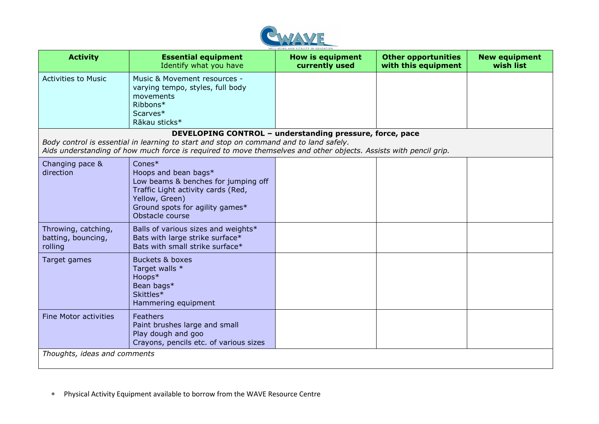

| <b>Activity</b>                                      | <b>Essential equipment</b><br>Identify what you have                                                                                                                                                                                                                   | <b>How is equipment</b><br>currently used | <b>Other opportunities</b><br>with this equipment | <b>New equipment</b><br>wish list |
|------------------------------------------------------|------------------------------------------------------------------------------------------------------------------------------------------------------------------------------------------------------------------------------------------------------------------------|-------------------------------------------|---------------------------------------------------|-----------------------------------|
| <b>Activities to Music</b>                           | Music & Movement resources -<br>varying tempo, styles, full body<br>movements<br>Ribbons*<br>Scarves*<br>Rākau sticks*                                                                                                                                                 |                                           |                                                   |                                   |
|                                                      | DEVELOPING CONTROL - understanding pressure, force, pace<br>Body control is essential in learning to start and stop on command and to land safely.<br>Aids understanding of how much force is required to move themselves and other objects. Assists with pencil grip. |                                           |                                                   |                                   |
| Changing pace &<br>direction                         | $Cones*$<br>Hoops and bean bags*<br>Low beams & benches for jumping off<br>Traffic Light activity cards (Red,<br>Yellow, Green)<br>Ground spots for agility games*<br>Obstacle course                                                                                  |                                           |                                                   |                                   |
| Throwing, catching,<br>batting, bouncing,<br>rolling | Balls of various sizes and weights*<br>Bats with large strike surface*<br>Bats with small strike surface*                                                                                                                                                              |                                           |                                                   |                                   |
| Target games                                         | <b>Buckets &amp; boxes</b><br>Target walls *<br>Hoops*<br>Bean bags*<br>Skittles*<br>Hammering equipment                                                                                                                                                               |                                           |                                                   |                                   |
| <b>Fine Motor activities</b>                         | Feathers<br>Paint brushes large and small<br>Play dough and goo<br>Crayons, pencils etc. of various sizes                                                                                                                                                              |                                           |                                                   |                                   |
| Thoughts, ideas and comments                         |                                                                                                                                                                                                                                                                        |                                           |                                                   |                                   |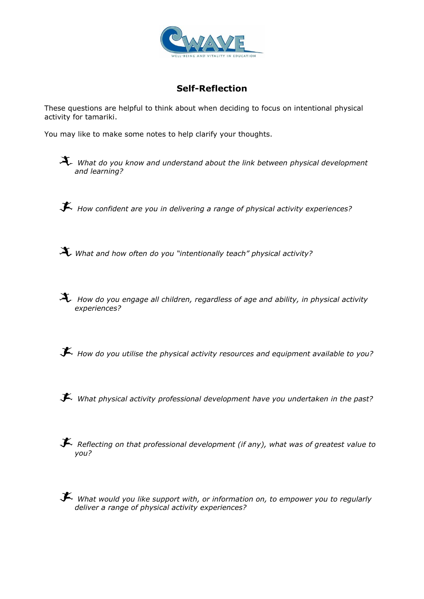

# **Self-Reflection**

These questions are helpful to think about when deciding to focus on intentional physical activity for tamariki.

You may like to make some notes to help clarify your thoughts.

*What do you know and understand about the link between physical development and learning?*

*How confident are you in delivering a range of physical activity experiences?*

*What and how often do you "intentionally teach" physical activity?*

 *How do you engage all children, regardless of age and ability, in physical activity experiences?*

*How do you utilise the physical activity resources and equipment available to you?*

*What physical activity professional development have you undertaken in the past?*

 *Reflecting on that professional development (if any), what was of greatest value to you?*

*What would you like support with, or information on, to empower you to regularly deliver a range of physical activity experiences?*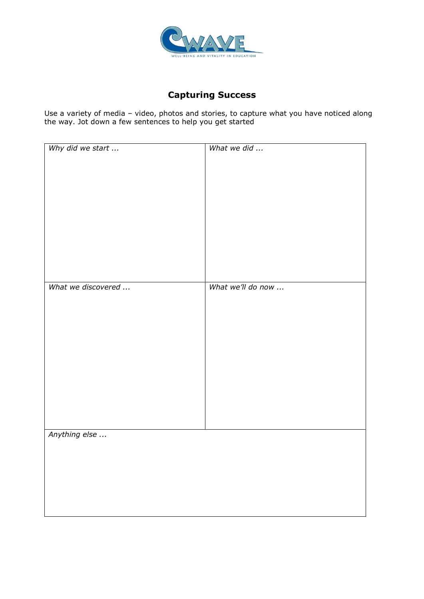

# **Capturing Success**

Use a variety of media – video, photos and stories, to capture what you have noticed along the way. Jot down a few sentences to help you get started

| What we did       |
|-------------------|
|                   |
|                   |
|                   |
|                   |
|                   |
|                   |
|                   |
|                   |
|                   |
|                   |
| What we'll do now |
|                   |
|                   |
|                   |
|                   |
|                   |
|                   |
|                   |
|                   |
|                   |
|                   |
|                   |
|                   |
|                   |
|                   |
|                   |
|                   |
|                   |
|                   |
|                   |